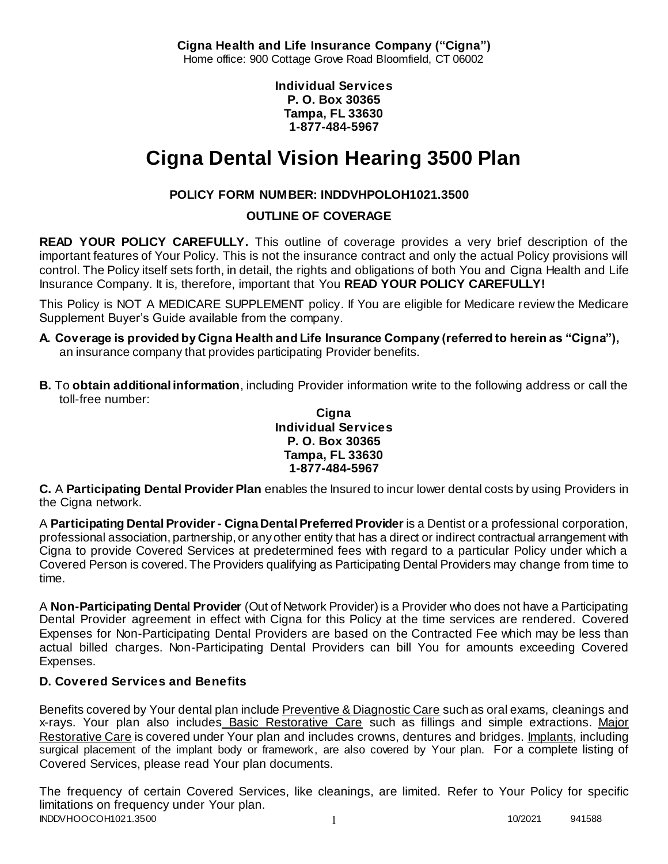**Cigna Health and Life Insurance Company ("Cigna")** Home office: 900 Cottage Grove Road Bloomfield, CT 06002

> **Individual Services P. O. Box 30365 Tampa, FL 33630 1-877-484-5967**

# **Cigna Dental Vision Hearing 3500 Plan**

# **POLICY FORM NUMBER: INDDVHPOLOH1021.3500**

**OUTLINE OF COVERAGE** 

**READ YOUR POLICY CAREFULLY.** This outline of coverage provides a very brief description of the important features of Your Policy. This is not the insurance contract and only the actual Policy provisions will control. The Policy itself sets forth, in detail, the rights and obligations of both You and Cigna Health and Life Insurance Company. It is, therefore, important that You **READ YOUR POLICY CAREFULLY!** 

This Policy is NOT A MEDICARE SUPPLEMENT policy. If You are eligible for Medicare review the Medicare Supplement Buyer's Guide available from the company.

- **A. Coverage is provided by Cigna Health and Life Insurance Company (referred to herein as "Cigna"),**  an insurance company that provides participating Provider benefits.
- **B.** To **obtain additional information**, including Provider information write to the following address or call the toll-free number:

### **Cigna Individual Services P. O. Box 30365 Tampa, FL 33630 1-877-484-5967**

**C.** A **Participating Dental Provider Plan** enables the Insured to incur lower dental costs by using Providers in the Cigna network.

A **Participating Dental Provider - Cigna Dental Preferred Provider** is a Dentist or a professional corporation, professional association, partnership, or any other entity that has a direct or indirect contractual arrangement with Cigna to provide Covered Services at predetermined fees with regard to a particular Policy under which a Covered Person is covered. The Providers qualifying as Participating Dental Providers may change from time to time.

A **Non-Participating Dental Provider** (Out of Network Provider) is a Provider who does not have a Participating Dental Provider agreement in effect with Cigna for this Policy at the time services are rendered. Covered Expenses for Non-Participating Dental Providers are based on the Contracted Fee which may be less than actual billed charges. Non-Participating Dental Providers can bill You for amounts exceeding Covered Expenses.

# **D. Covered Services and Benefits**

Benefits covered by Your dental plan include Preventive & Diagnostic Care such as oral exams, cleanings and x-rays. Your plan also includes Basic Restorative Care such as fillings and simple extractions. Major Restorative Care is covered under Your plan and includes crowns, dentures and bridges. Implants, including surgical placement of the implant body or framework, are also covered by Your plan. For a complete listing of Covered Services, please read Your plan documents.

INDDVHOOCOH1021.3500 1 10/2021 941588 The frequency of certain Covered Services, like cleanings, are limited. Refer to Your Policy for specific limitations on frequency under Your plan.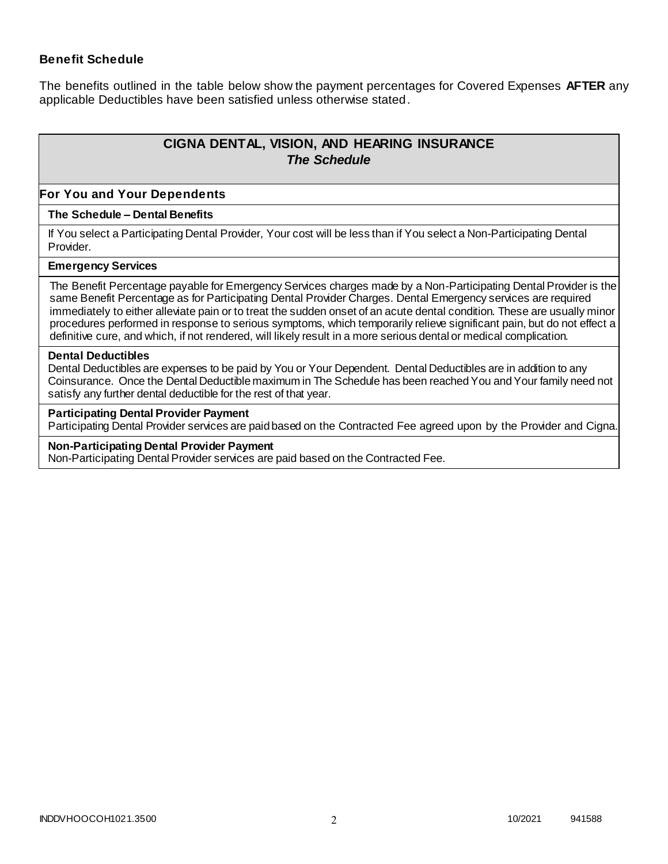### **Benefit Schedule**

The benefits outlined in the table below show the payment percentages for Covered Expenses **AFTER** any applicable Deductibles have been satisfied unless otherwise stated.

# **CIGNA DENTAL, VISION, AND HEARING INSURANCE** *The Schedule*

#### **For You and Your Dependents**

#### **The Schedule – Dental Benefits**

If You select a Participating Dental Provider, Your cost will be less than if You select a Non-Participating Dental Provider.

#### **Emergency Services**

The Benefit Percentage payable for Emergency Services charges made by a Non-Participating Dental Provider is the same Benefit Percentage as for Participating Dental Provider Charges. Dental Emergency services are required immediately to either alleviate pain or to treat the sudden onset of an acute dental condition. These are usually minor procedures performed in response to serious symptoms, which temporarily relieve significant pain, but do not effect a definitive cure, and which, if not rendered, will likely result in a more serious dental or medical complication.

#### **Dental Deductibles**

Dental Deductibles are expenses to be paid by You or Your Dependent. Dental Deductibles are in addition to any Coinsurance. Once the Dental Deductible maximum in The Schedule has been reached You and Your family need not satisfy any further dental deductible for the rest of that year.

#### **Participating Dental Provider Payment**

Participating Dental Provider services are paid based on the Contracted Fee agreed upon by the Provider and Cigna.

#### **Non-Participating Dental Provider Payment**

Non-Participating Dental Provider services are paid based on the Contracted Fee.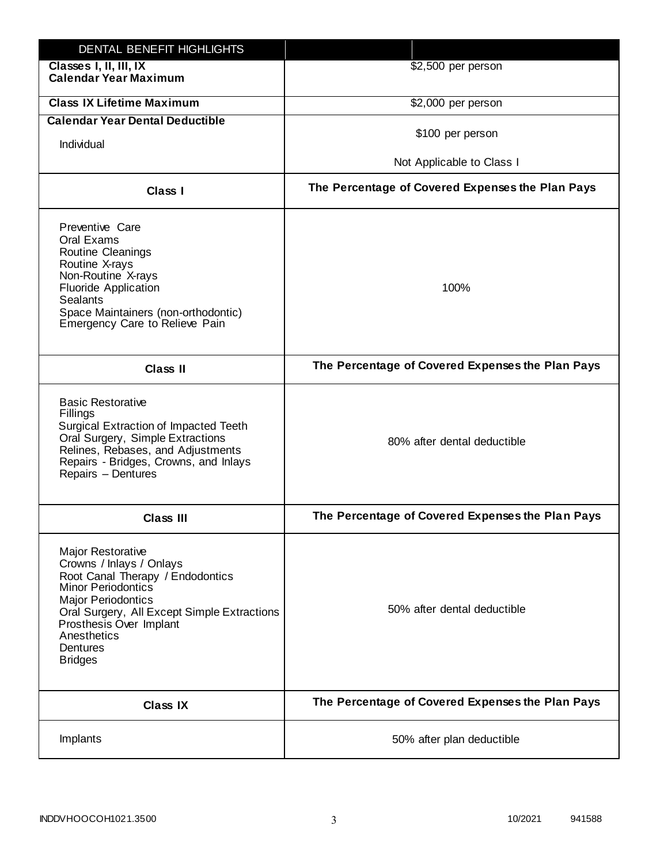| DENTAL BENEFIT HIGHLIGHTS                                                                                                                                                                                                                                                 |                                                  |
|---------------------------------------------------------------------------------------------------------------------------------------------------------------------------------------------------------------------------------------------------------------------------|--------------------------------------------------|
| Classes I, II, III, IX<br><b>Calendar Year Maximum</b>                                                                                                                                                                                                                    | \$2,500 per person                               |
| <b>Class IX Lifetime Maximum</b>                                                                                                                                                                                                                                          | \$2,000 per person                               |
| <b>Calendar Year Dental Deductible</b>                                                                                                                                                                                                                                    |                                                  |
| Individual                                                                                                                                                                                                                                                                | \$100 per person                                 |
|                                                                                                                                                                                                                                                                           | Not Applicable to Class I                        |
| Class I                                                                                                                                                                                                                                                                   | The Percentage of Covered Expenses the Plan Pays |
| Preventive Care<br>Oral Exams<br><b>Routine Cleanings</b><br>Routine X-rays<br>Non-Routine X-rays<br><b>Fluoride Application</b><br><b>Sealants</b><br>Space Maintainers (non-orthodontic)<br>Emergency Care to Relieve Pain                                              | 100%                                             |
| <b>Class II</b>                                                                                                                                                                                                                                                           | The Percentage of Covered Expenses the Plan Pays |
| <b>Basic Restorative</b><br>Fillings<br>Surgical Extraction of Impacted Teeth<br>Oral Surgery, Simple Extractions<br>Relines, Rebases, and Adjustments<br>Repairs - Bridges, Crowns, and Inlays<br>Repairs - Dentures                                                     | 80% after dental deductible                      |
| <b>Class III</b>                                                                                                                                                                                                                                                          | The Percentage of Covered Expenses the Plan Pays |
| <b>Major Restorative</b><br>Crowns / Inlays / Onlays<br>Root Canal Therapy / Endodontics<br><b>Minor Periodontics</b><br><b>Major Periodontics</b><br>Oral Surgery, All Except Simple Extractions<br>Prosthesis Over Implant<br>Anesthetics<br>Dentures<br><b>Bridges</b> | 50% after dental deductible                      |
| <b>Class IX</b>                                                                                                                                                                                                                                                           | The Percentage of Covered Expenses the Plan Pays |
| Implants                                                                                                                                                                                                                                                                  | 50% after plan deductible                        |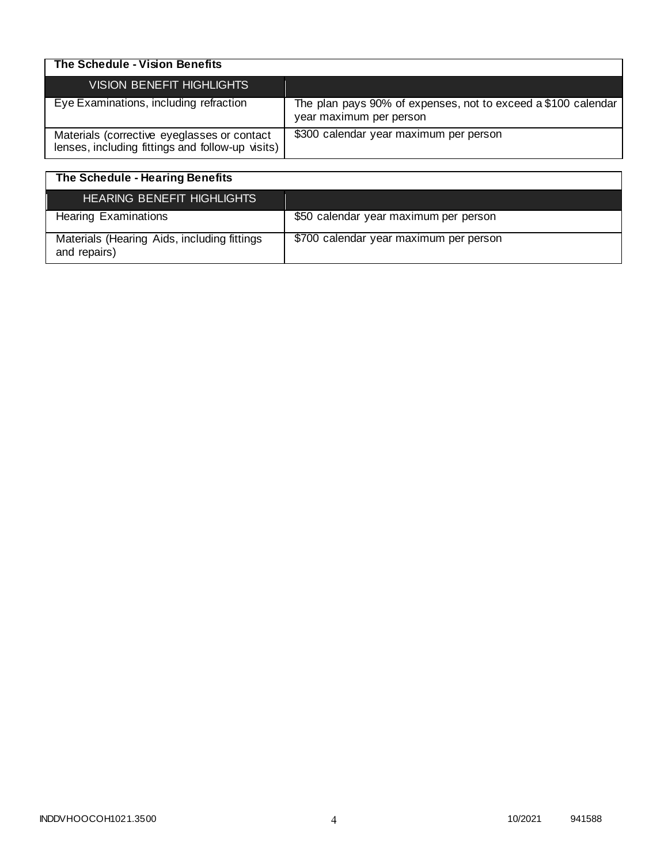| The Schedule - Vision Benefits                                                                  |                                                                                          |
|-------------------------------------------------------------------------------------------------|------------------------------------------------------------------------------------------|
| <b>VISION BENEFIT HIGHLIGHTS</b>                                                                |                                                                                          |
| Eye Examinations, including refraction                                                          | The plan pays 90% of expenses, not to exceed a \$100 calendar<br>year maximum per person |
| Materials (corrective eyeglasses or contact<br>lenses, including fittings and follow-up visits) | \$300 calendar year maximum per person                                                   |

| The Schedule - Hearing Benefits                             |                                        |
|-------------------------------------------------------------|----------------------------------------|
| <b>HEARING BENEFIT HIGHLIGHTS</b>                           |                                        |
| <b>Hearing Examinations</b>                                 | \$50 calendar year maximum per person  |
| Materials (Hearing Aids, including fittings<br>and repairs) | \$700 calendar year maximum per person |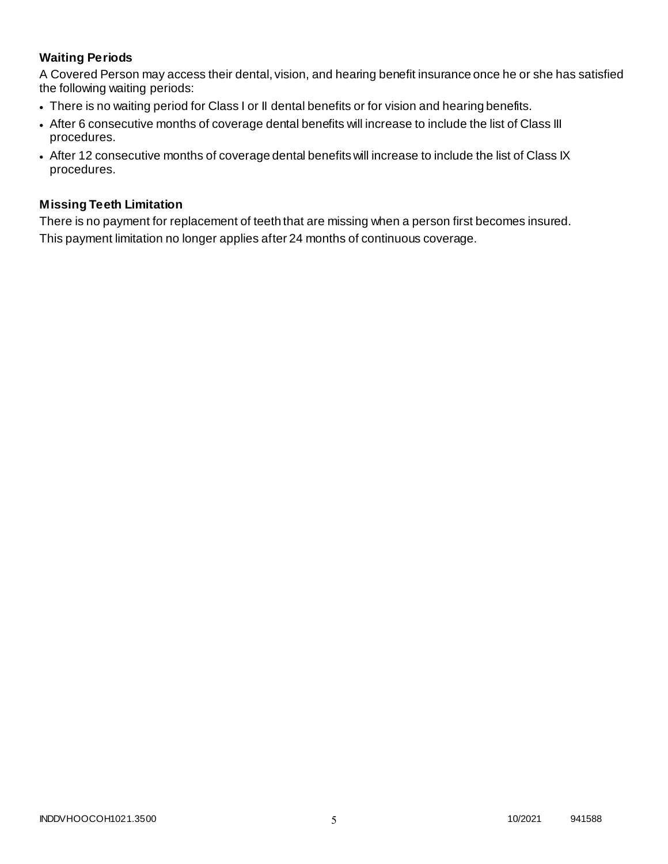# **Waiting Periods**

A Covered Person may access their dental, vision, and hearing benefit insurance once he or she has satisfied the following waiting periods:

- There is no waiting period for Class I or II dental benefits or for vision and hearing benefits.
- After 6 consecutive months of coverage dental benefits will increase to include the list of Class III procedures.
- After 12 consecutive months of coverage dental benefits will increase to include the list of Class IX procedures.

### **Missing Teeth Limitation**

There is no payment for replacement of teeth that are missing when a person first becomes insured. This payment limitation no longer applies after 24 months of continuous coverage.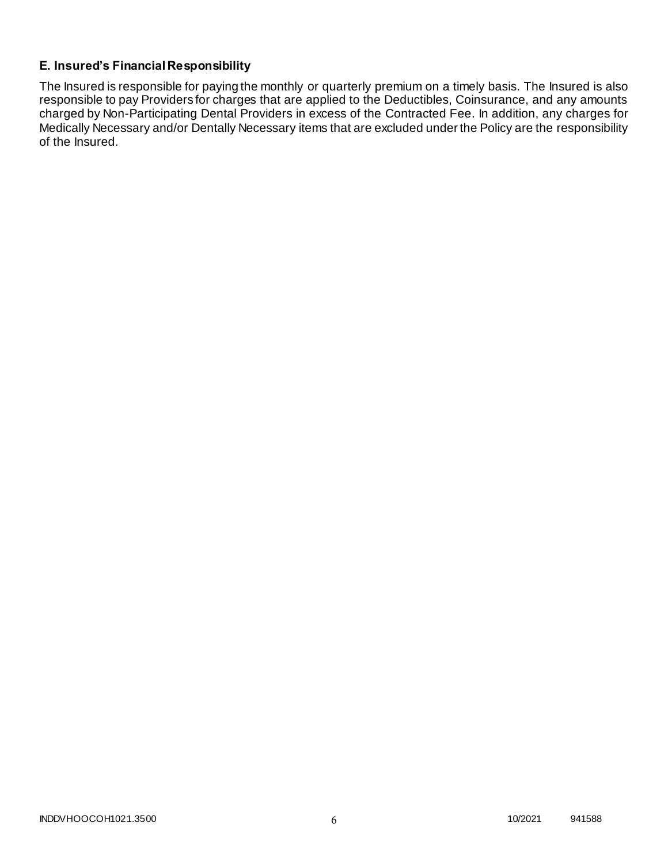# **E. Insured's Financial Responsibility**

The Insured is responsible for paying the monthly or quarterly premium on a timely basis. The Insured is also responsible to pay Providers for charges that are applied to the Deductibles, Coinsurance, and any amounts charged by Non-Participating Dental Providers in excess of the Contracted Fee. In addition, any charges for Medically Necessary and/or Dentally Necessary items that are excluded under the Policy are the responsibility of the Insured.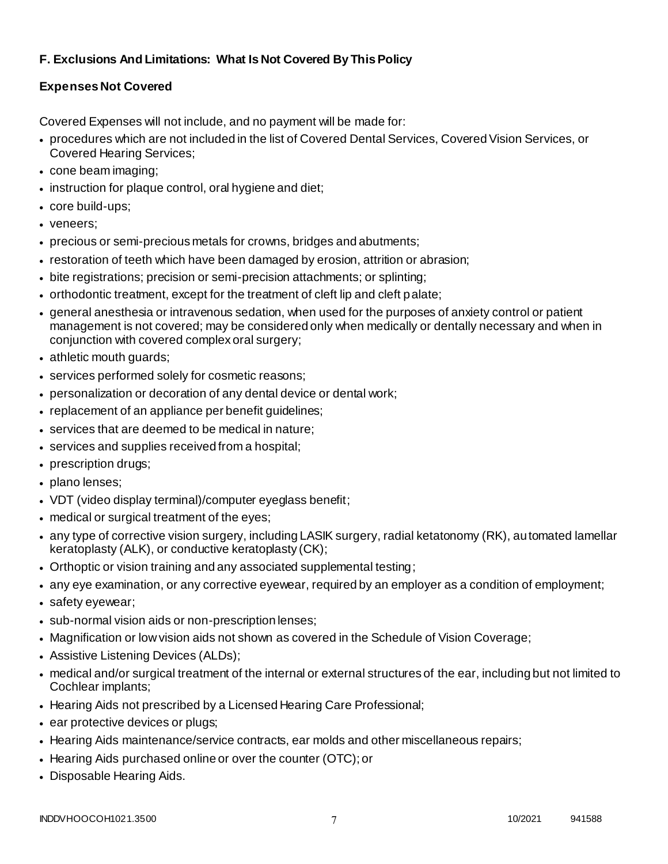# **F. Exclusions And Limitations: What Is Not Covered By This Policy**

# **Expenses Not Covered**

Covered Expenses will not include, and no payment will be made for:

- procedures which are not included in the list of Covered Dental Services, Covered Vision Services, or Covered Hearing Services;
- cone beam imaging;
- instruction for plaque control, oral hygiene and diet;
- core build-ups;
- veneers;
- precious or semi-precious metals for crowns, bridges and abutments;
- restoration of teeth which have been damaged by erosion, attrition or abrasion;
- bite registrations; precision or semi-precision attachments; or splinting;
- orthodontic treatment, except for the treatment of cleft lip and cleft palate;
- general anesthesia or intravenous sedation, when used for the purposes of anxiety control or patient management is not covered; may be considered only when medically or dentally necessary and when in conjunction with covered complex oral surgery;
- athletic mouth guards;
- services performed solely for cosmetic reasons;
- personalization or decoration of any dental device or dental work;
- replacement of an appliance per benefit guidelines;
- services that are deemed to be medical in nature;
- services and supplies received from a hospital;
- prescription drugs;
- plano lenses;
- VDT (video display terminal)/computer eyeglass benefit;
- medical or surgical treatment of the eyes;
- any type of corrective vision surgery, including LASIK surgery, radial ketatonomy (RK), automated lamellar keratoplasty (ALK), or conductive keratoplasty (CK);
- Orthoptic or vision training and any associated supplemental testing;
- any eye examination, or any corrective eyewear, required by an employer as a condition of employment;
- safety eyewear;
- sub-normal vision aids or non-prescription lenses;
- Magnification or low vision aids not shown as covered in the Schedule of Vision Coverage;
- Assistive Listening Devices (ALDs);
- medical and/or surgical treatment of the internal or external structures of the ear, including but not limited to Cochlear implants;
- Hearing Aids not prescribed by a Licensed Hearing Care Professional;
- ear protective devices or plugs;
- Hearing Aids maintenance/service contracts, ear molds and other miscellaneous repairs;
- Hearing Aids purchased online or over the counter (OTC); or
- Disposable Hearing Aids.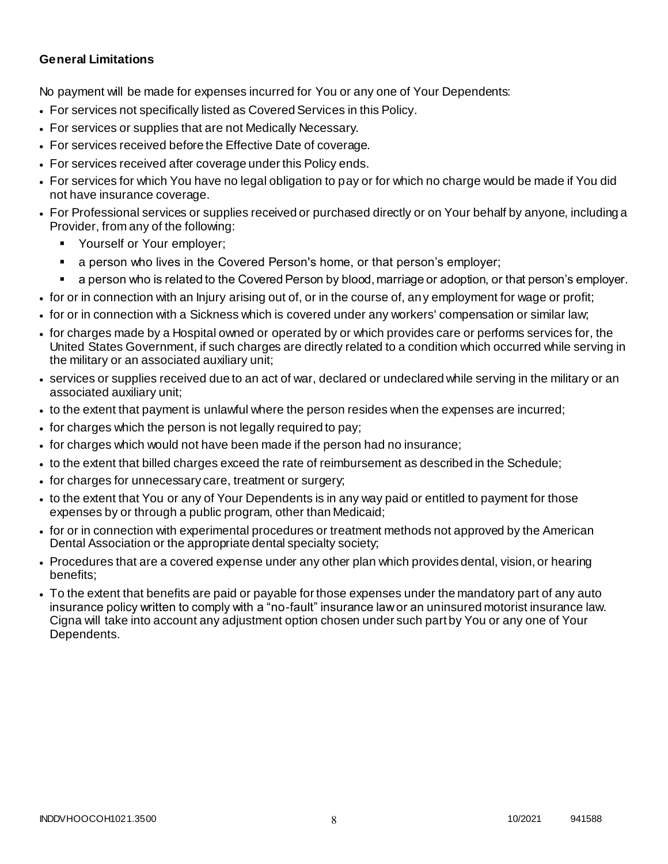### **General Limitations**

No payment will be made for expenses incurred for You or any one of Your Dependents:

- For services not specifically listed as Covered Services in this Policy.
- For services or supplies that are not Medically Necessary.
- For services received before the Effective Date of coverage.
- For services received after coverage under this Policy ends.
- For services for which You have no legal obligation to pay or for which no charge would be made if You did not have insurance coverage.
- For Professional services or supplies received or purchased directly or on Your behalf by anyone, including a Provider, from any of the following:
	- Yourself or Your employer;
	- a person who lives in the Covered Person's home, or that person's employer;
	- a person who is related to the Covered Person by blood, marriage or adoption, or that person's employer.
- for or in connection with an Injury arising out of, or in the course of, any employment for wage or profit;
- for or in connection with a Sickness which is covered under any workers' compensation or similar law;
- for charges made by a Hospital owned or operated by or which provides care or performs services for, the United States Government, if such charges are directly related to a condition which occurred while serving in the military or an associated auxiliary unit;
- services or supplies received due to an act of war, declared or undeclared while serving in the military or an associated auxiliary unit;
- to the extent that payment is unlawful where the person resides when the expenses are incurred;
- for charges which the person is not legally required to pay;
- for charges which would not have been made if the person had no insurance;
- to the extent that billed charges exceed the rate of reimbursement as described in the Schedule;
- for charges for unnecessary care, treatment or surgery;
- to the extent that You or any of Your Dependents is in any way paid or entitled to payment for those expenses by or through a public program, other than Medicaid;
- for or in connection with experimental procedures or treatment methods not approved by the American Dental Association or the appropriate dental specialty society;
- Procedures that are a covered expense under any other plan which provides dental, vision, or hearing benefits;
- To the extent that benefits are paid or payable for those expenses under the mandatory part of any auto insurance policy written to comply with a "no-fault" insurance law or an uninsured motorist insurance law. Cigna will take into account any adjustment option chosen under such part by You or any one of Your Dependents.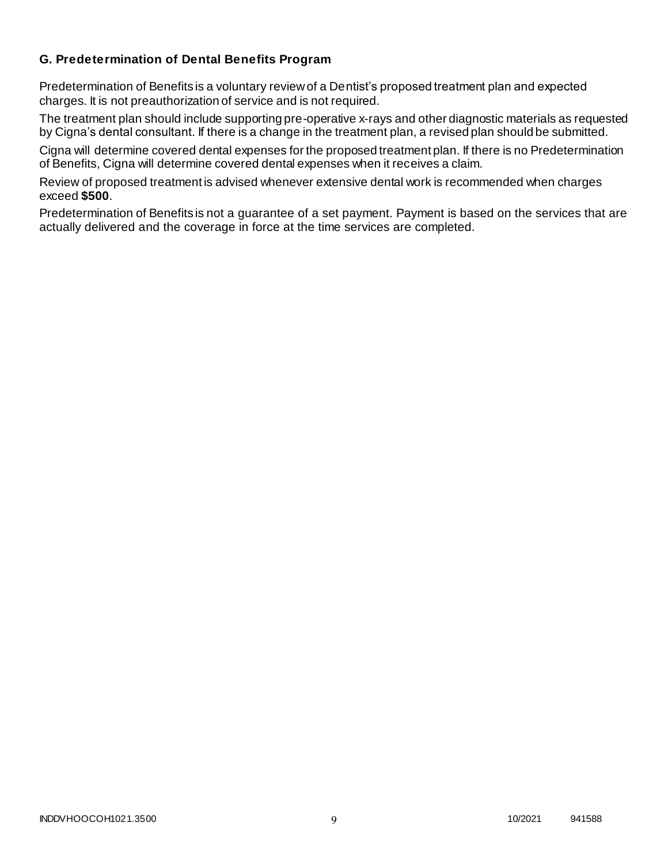### **G. Predetermination of Dental Benefits Program**

Predetermination of Benefits is a voluntary review of a Dentist's proposed treatment plan and expected charges. It is not preauthorization of service and is not required.

The treatment plan should include supporting pre-operative x-rays and other diagnostic materials as requested by Cigna's dental consultant. If there is a change in the treatment plan, a revised plan should be submitted.

Cigna will determine covered dental expenses for the proposed treatment plan. If there is no Predetermination of Benefits, Cigna will determine covered dental expenses when it receives a claim.

Review of proposed treatment is advised whenever extensive dental work is recommended when charges exceed **\$500**.

Predetermination of Benefits is not a guarantee of a set payment. Payment is based on the services that are actually delivered and the coverage in force at the time services are completed.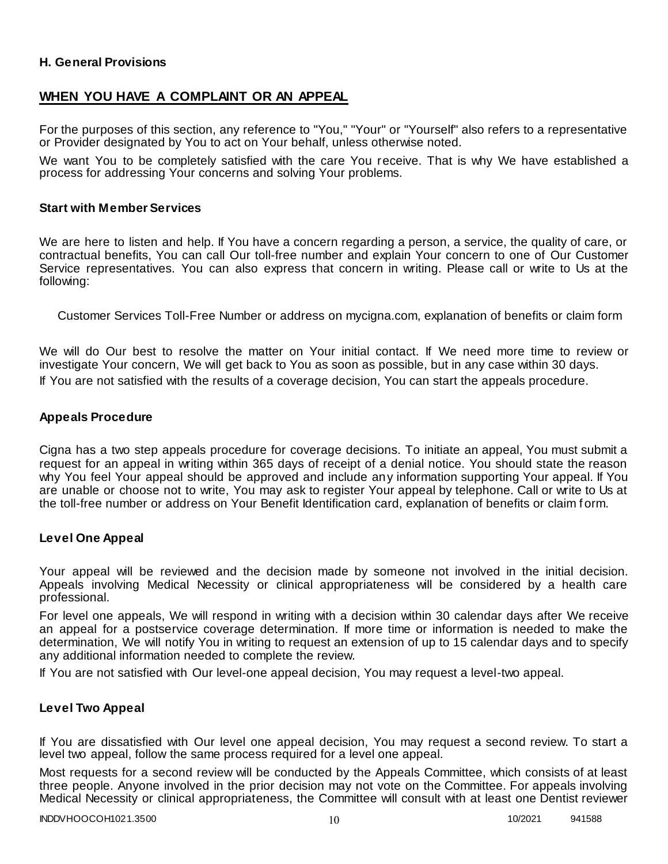### **H. General Provisions**

# **WHEN YOU HAVE A COMPLAINT OR AN APPEAL**

For the purposes of this section, any reference to "You," "Your" or "Yourself" also refers to a representative or Provider designated by You to act on Your behalf, unless otherwise noted.

We want You to be completely satisfied with the care You receive. That is why We have established a process for addressing Your concerns and solving Your problems.

#### **Start with Member Services**

We are here to listen and help. If You have a concern regarding a person, a service, the quality of care, or contractual benefits, You can call Our toll-free number and explain Your concern to one of Our Customer Service representatives. You can also express that concern in writing. Please call or write to Us at the following:

Customer Services Toll-Free Number or address on mycigna.com, explanation of benefits or claim form

We will do Our best to resolve the matter on Your initial contact. If We need more time to review or investigate Your concern, We will get back to You as soon as possible, but in any case within 30 days. If You are not satisfied with the results of a coverage decision, You can start the appeals procedure.

#### **Appeals Procedure**

Cigna has a two step appeals procedure for coverage decisions. To initiate an appeal, You must submit a request for an appeal in writing within 365 days of receipt of a denial notice. You should state the reason why You feel Your appeal should be approved and include any information supporting Your appeal. If You are unable or choose not to write, You may ask to register Your appeal by telephone. Call or write to Us at the toll-free number or address on Your Benefit Identification card, explanation of benefits or claim f orm.

#### **Level One Appeal**

Your appeal will be reviewed and the decision made by someone not involved in the initial decision. Appeals involving Medical Necessity or clinical appropriateness will be considered by a health care professional.

For level one appeals, We will respond in writing with a decision within 30 calendar days after We receive an appeal for a postservice coverage determination. If more time or information is needed to make the determination, We will notify You in writing to request an extension of up to 15 calendar days and to specify any additional information needed to complete the review.

If You are not satisfied with Our level-one appeal decision, You may request a level-two appeal.

### **Level Two Appeal**

If You are dissatisfied with Our level one appeal decision, You may request a second review. To start a level two appeal, follow the same process required for a level one appeal.

Most requests for a second review will be conducted by the Appeals Committee, which consists of at least three people. Anyone involved in the prior decision may not vote on the Committee. For appeals involving Medical Necessity or clinical appropriateness, the Committee will consult with at least one Dentist reviewer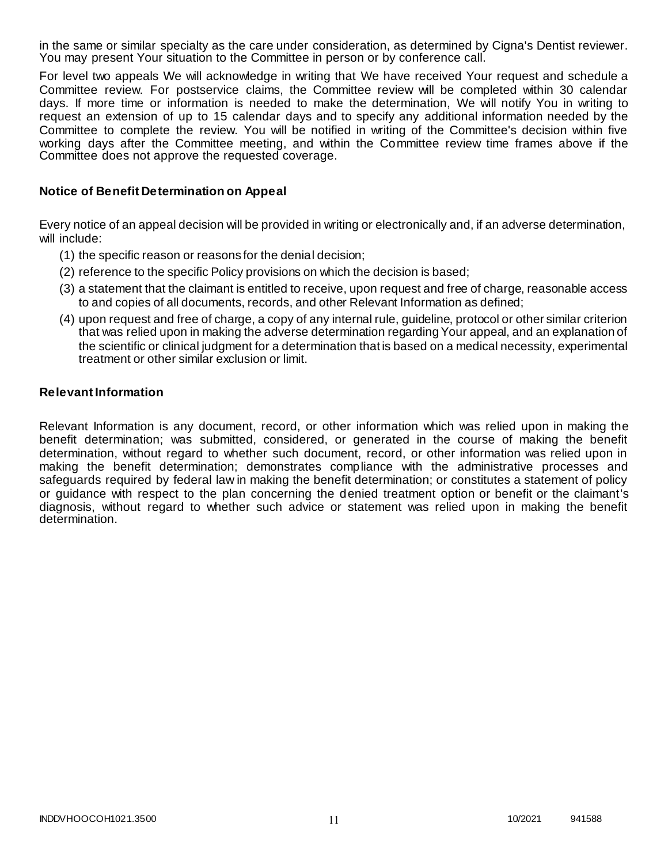in the same or similar specialty as the care under consideration, as determined by Cigna's Dentist reviewer. You may present Your situation to the Committee in person or by conference call.

For level two appeals We will acknowledge in writing that We have received Your request and schedule a Committee review. For postservice claims, the Committee review will be completed within 30 calendar days. If more time or information is needed to make the determination, We will notify You in writing to request an extension of up to 15 calendar days and to specify any additional information needed by the Committee to complete the review. You will be notified in writing of the Committee's decision within five working days after the Committee meeting, and within the Committee review time frames above if the Committee does not approve the requested coverage.

### **Notice of Benefit Determination on Appeal**

Every notice of an appeal decision will be provided in writing or electronically and, if an adverse determination, will include:

- (1) the specific reason or reasons for the denial decision;
- (2) reference to the specific Policy provisions on which the decision is based;
- (3) a statement that the claimant is entitled to receive, upon request and free of charge, reasonable access to and copies of all documents, records, and other Relevant Information as defined;
- (4) upon request and free of charge, a copy of any internal rule, guideline, protocol or other similar criterion that was relied upon in making the adverse determination regarding Your appeal, and an explanation of the scientific or clinical judgment for a determination that is based on a medical necessity, experimental treatment or other similar exclusion or limit.

#### **Relevant Information**

Relevant Information is any document, record, or other information which was relied upon in making the benefit determination; was submitted, considered, or generated in the course of making the benefit determination, without regard to whether such document, record, or other information was relied upon in making the benefit determination; demonstrates compliance with the administrative processes and safeguards required by federal law in making the benefit determination; or constitutes a statement of policy or guidance with respect to the plan concerning the denied treatment option or benefit or the claimant's diagnosis, without regard to whether such advice or statement was relied upon in making the benefit determination.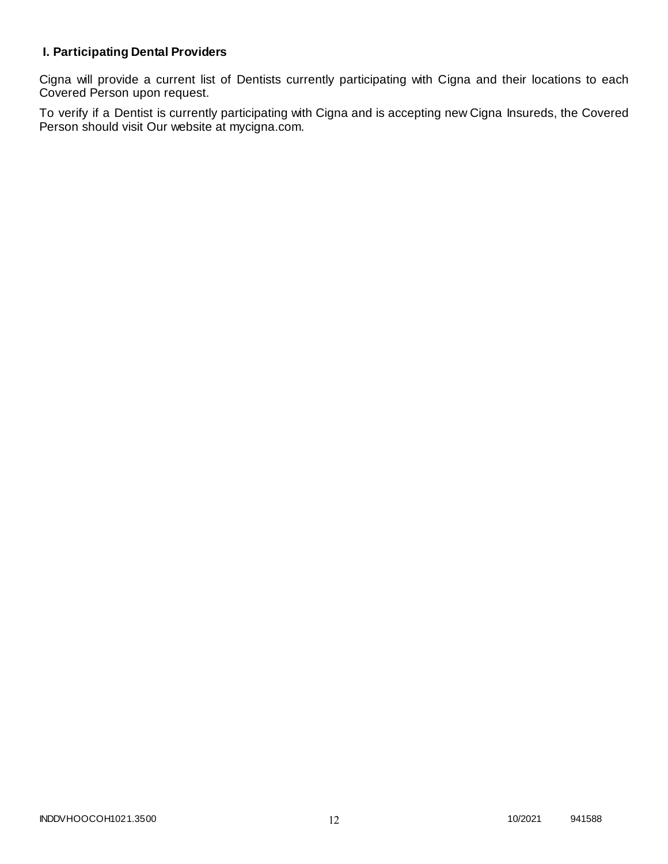# **I. Participating Dental Providers**

Cigna will provide a current list of Dentists currently participating with Cigna and their locations to each Covered Person upon request.

To verify if a Dentist is currently participating with Cigna and is accepting new Cigna Insureds, the Covered Person should visit Our website at mycigna.com.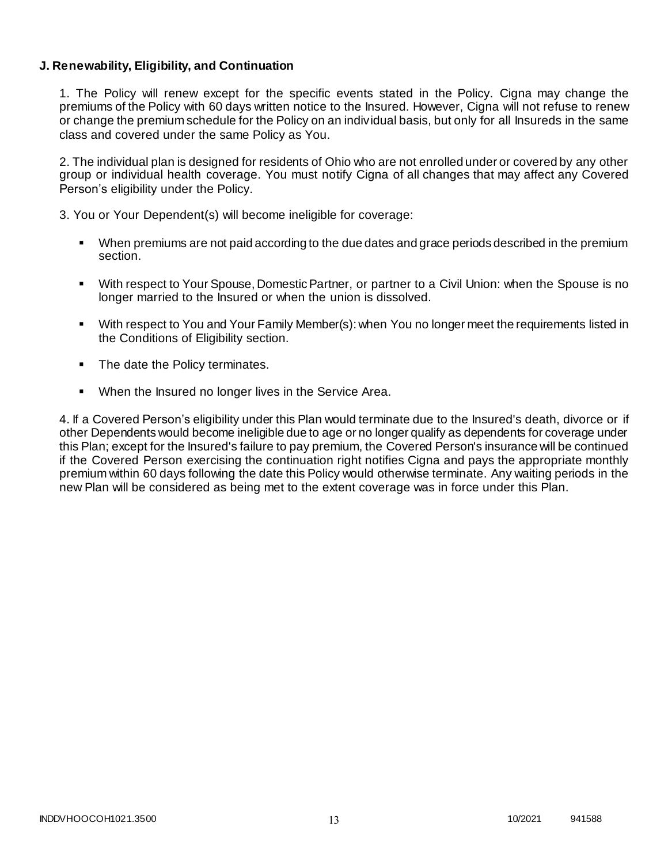### **J. Renewability, Eligibility, and Continuation**

1. The Policy will renew except for the specific events stated in the Policy. Cigna may change the premiums of the Policy with 60 days written notice to the Insured. However, Cigna will not refuse to renew or change the premium schedule for the Policy on an individual basis, but only for all Insureds in the same class and covered under the same Policy as You.

2. The individual plan is designed for residents of Ohio who are not enrolled under or covered by any other group or individual health coverage. You must notify Cigna of all changes that may affect any Covered Person's eligibility under the Policy.

3. You or Your Dependent(s) will become ineligible for coverage:

- When premiums are not paid according to the due dates and grace periods described in the premium section.
- With respect to Your Spouse, Domestic Partner, or partner to a Civil Union: when the Spouse is no longer married to the Insured or when the union is dissolved.
- With respect to You and Your Family Member(s): when You no longer meet the requirements listed in the Conditions of Eligibility section.
- The date the Policy terminates.
- When the Insured no longer lives in the Service Area.

4. If a Covered Person's eligibility under this Plan would terminate due to the Insured's death, divorce or if other Dependents would become ineligible due to age or no longer qualify as dependents for coverage under this Plan; except for the Insured's failure to pay premium, the Covered Person's insurance will be continued if the Covered Person exercising the continuation right notifies Cigna and pays the appropriate monthly premium within 60 days following the date this Policy would otherwise terminate. Any waiting periods in the new Plan will be considered as being met to the extent coverage was in force under this Plan.